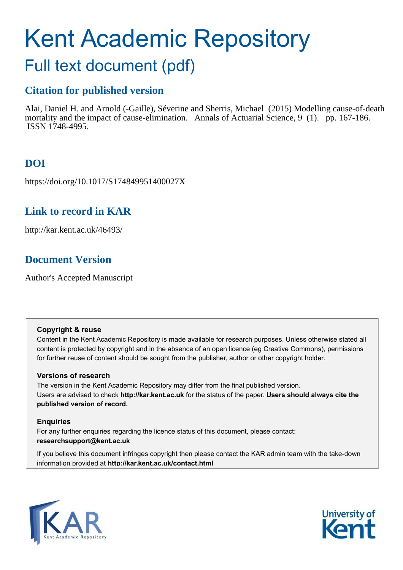# Kent Academic Repository

# Full text document (pdf)

## **Citation for published version**

Alai, Daniel H. and Arnold (-Gaille), Séverine and Sherris, Michael (2015) Modelling cause-of-death mortality and the impact of cause-elimination. Annals of Actuarial Science, 9 (1). pp. 167-186. ISSN 1748-4995.

## **DOI**

https://doi.org/10.1017/S174849951400027X

## **Link to record in KAR**

http://kar.kent.ac.uk/46493/

## **Document Version**

Author's Accepted Manuscript

#### **Copyright & reuse**

Content in the Kent Academic Repository is made available for research purposes. Unless otherwise stated all content is protected by copyright and in the absence of an open licence (eg Creative Commons), permissions for further reuse of content should be sought from the publisher, author or other copyright holder.

#### **Versions of research**

The version in the Kent Academic Repository may differ from the final published version. Users are advised to check **http://kar.kent.ac.uk** for the status of the paper. **Users should always cite the published version of record.**

#### **Enquiries**

For any further enquiries regarding the licence status of this document, please contact: **researchsupport@kent.ac.uk**

If you believe this document infringes copyright then please contact the KAR admin team with the take-down information provided at **http://kar.kent.ac.uk/contact.html**



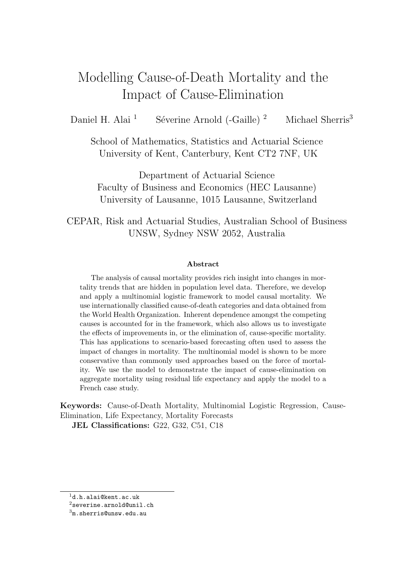## Modelling Cause-of-Death Mortality and the Impact of Cause-Elimination

Daniel H. Alai<sup>1</sup> Séverine Arnold (-Gaille)<sup>2</sup> Michael Sherris<sup>3</sup>

School of Mathematics, Statistics and Actuarial Science University of Kent, Canterbury, Kent CT2 7NF, UK

Department of Actuarial Science Faculty of Business and Economics (HEC Lausanne) University of Lausanne, 1015 Lausanne, Switzerland

CEPAR, Risk and Actuarial Studies, Australian School of Business UNSW, Sydney NSW 2052, Australia

#### Abstract

The analysis of causal mortality provides rich insight into changes in mortality trends that are hidden in population level data. Therefore, we develop and apply a multinomial logistic framework to model causal mortality. We use internationally classified cause-of-death categories and data obtained from the World Health Organization. Inherent dependence amongst the competing causes is accounted for in the framework, which also allows us to investigate the effects of improvements in, or the elimination of, cause-specific mortality. This has applications to scenario-based forecasting often used to assess the impact of changes in mortality. The multinomial model is shown to be more conservative than commonly used approaches based on the force of mortality. We use the model to demonstrate the impact of cause-elimination on aggregate mortality using residual life expectancy and apply the model to a French case study.

Keywords: Cause-of-Death Mortality, Multinomial Logistic Regression, Cause-Elimination, Life Expectancy, Mortality Forecasts JEL Classifications: G22, G32, C51, C18

<sup>1</sup>d.h.alai@kent.ac.uk

 $^2$ severine.arnold@unil.ch

 $3<sub>m.s</sub>$ herris@unsw.edu.au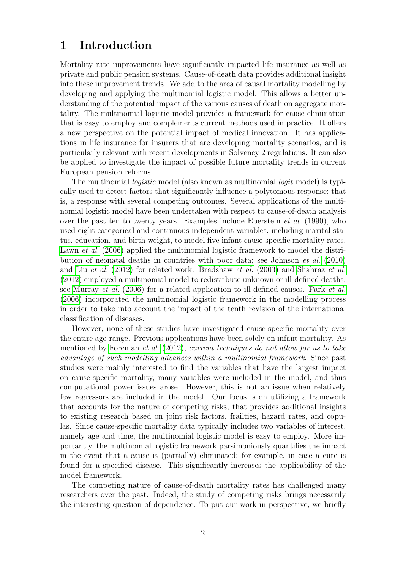## 1 Introduction

Mortality rate improvements have significantly impacted life insurance as well as private and public pension systems. Cause-of-death data provides additional insight into these improvement trends. We add to the area of causal mortality modelling by developing and applying the multinomial logistic model. This allows a better understanding of the potential impact of the various causes of death on aggregate mortality. The multinomial logistic model provides a framework for cause-elimination that is easy to employ and complements current methods used in practice. It offers a new perspective on the potential impact of medical innovation. It has applications in life insurance for insurers that are developing mortality scenarios, and is particularly relevant with recent developments in Solvency 2 regulations. It can also be applied to investigate the impact of possible future mortality trends in current European pension reforms.

The multinomial *logistic* model (also known as multinomial *logit* model) is typically used to detect factors that significantly influence a polytomous response; that is, a response with several competing outcomes. Several applications of the multinomial logistic model have been undertaken with respect to cause-of-death analysis over the past ten to twenty years. Examples include [Eberstein](#page-18-0) *et al.* [\(1990\)](#page-18-0), who used eight categorical and continuous independent variables, including marital status, education, and birth weight, to model five infant cause-specific mortality rates. [Lawn](#page-19-0) *et al.* [\(2006\)](#page-19-0) applied the multinomial logistic framework to model the distribution of neonatal deaths in countries with poor data; see [Johnson](#page-19-1) *et al.* [\(2010\)](#page-19-1) and Liu *[et al.](#page-19-2)* [\(2012\)](#page-19-2) for related work. [Bradshaw](#page-17-0) *et al.* [\(2003\)](#page-17-0) and [Shahraz](#page-21-0) *et al.* [\(2012\)](#page-21-0) employed a multinomial model to redistribute unknown or ill-defined deaths; see [Murray](#page-20-0) *et al.* [\(2006\)](#page-20-0) for a related application to ill-defined causes. Park *[et al.](#page-20-1)* [\(2006\)](#page-20-1) incorporated the multinomial logistic framework in the modelling process in order to take into account the impact of the tenth revision of the international classification of diseases.

However, none of these studies have investigated cause-specific mortality over the entire age-range. Previous applications have been solely on infant mortality. As mentioned by [Foreman](#page-18-1) *et al.* [\(2012\)](#page-18-1), *current techniques do not allow for us to take advantage of such modelling advances within a multinomial framework*. Since past studies were mainly interested to find the variables that have the largest impact on cause-specific mortality, many variables were included in the model, and thus computational power issues arose. However, this is not an issue when relatively few regressors are included in the model. Our focus is on utilizing a framework that accounts for the nature of competing risks, that provides additional insights to existing research based on joint risk factors, frailties, hazard rates, and copulas. Since cause-specific mortality data typically includes two variables of interest, namely age and time, the multinomial logistic model is easy to employ. More importantly, the multinomial logistic framework parsimoniously quantifies the impact in the event that a cause is (partially) eliminated; for example, in case a cure is found for a specified disease. This significantly increases the applicability of the model framework.

The competing nature of cause-of-death mortality rates has challenged many researchers over the past. Indeed, the study of competing risks brings necessarily the interesting question of dependence. To put our work in perspective, we briefly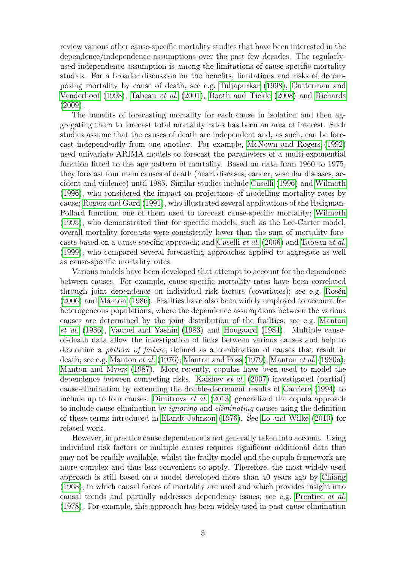review various other cause-specific mortality studies that have been interested in the dependence/independence assumptions over the past few decades. The regularlyused independence assumption is among the limitations of cause-specific mortality studies. For a broader discussion on the benefits, limitations and risks of decomposing mortality by cause of death, see e.g. [Tuljapurkar \(1998\)](#page-21-1), [Gutterman and](#page-18-2) [Vanderhoof \(1998\)](#page-18-2), [Tabeau](#page-21-2) *et al.* [\(2001\)](#page-21-2), [Booth and Tickle \(2008\)](#page-17-1) and [Richards](#page-20-2) [\(2009\)](#page-20-2).

The benefits of forecasting mortality for each cause in isolation and then aggregating them to forecast total mortality rates has been an area of interest. Such studies assume that the causes of death are independent and, as such, can be forecast independently from one another. For example, [McNown and](#page-20-3) Rogers [\(1992\)](#page-20-3) used univariate ARIMA models to forecast the parameters of a multi-exponential function fitted to the age pattern of mortality. Based on data from 1960 to 1975, they forecast four main causes of death (heart diseases, cancer, vascular diseases, accident and violence) until 1985. Similar studies include [Caselli \(1996\)](#page-18-3) and [Wilmoth](#page-21-3) [\(1996\)](#page-21-3), who considered the impact on projections of modelling mortality rates by cause; [Rogers and Gard \(1991\)](#page-20-4), who illustrated several applications of the Heligman-Pollard function, one of them used to forecast cause-specific mortality; [Wilmoth](#page-21-4) [\(1995\)](#page-21-4), who demonstrated that for specific models, such as the Lee-Carter model, overall mortality forecasts were consistently lower than the sum of mortality forecasts based on a cause-specific approach; and [Caselli](#page-18-4) *et al.* [\(2006\)](#page-18-4) and [Tabeau](#page-21-5) *et al.* [\(1999\)](#page-21-5), who compared several forecasting approaches applied to aggregate as well as cause-specific mortality rates.

<span id="page-3-0"></span>Various models have been developed that attempt to account for the dependence between causes. For example, cause-specific mortality rates have been correlated through joint dependence on individual risk factors (covariates); see e.g. Rosén [\(2006\)](#page-21-6) and [Manton \(1986\)](#page-19-3). Frailties have also been widely employed to account for heterogeneous populations, where the dependence assumptions between the various causes are determined by the joint distribution of the frailties; see e.g. [Manton](#page-20-5) *[et al.](#page-20-5)* [\(1986\)](#page-20-5), [Vaupel and Yashin \(1983\)](#page-21-7) and [Hougaard \(1984\)](#page-19-4). Multiple causeof-death data allow the investigation of links between various causes and help to determine a *pattern of failure*, defined as a combination of causes that result in death; see e.g. [Manton](#page-20-6) *et al.* [\(1976\)](#page-20-6); [Manton and Poss \(1979\)](#page-20-7); [Manton](#page-20-8) *et al.* [\(1980a\)](#page-20-8); [Manton and Myers \(1987\)](#page-19-5). More recently, copulas have been used to model the dependence between competing risks. [Kaishev](#page-19-6) *et al.* [\(2007\)](#page-19-6) investigated (partial) cause-elimination by extending the double-decrement results of [Carriere \(1994\)](#page-18-5) to include up to four causes. [Dimitrova](#page-18-6) *et al.* [\(2013\)](#page-18-6) generalized the copula approach to include cause-elimination by *ignoring* and *eliminating* causes using the definition of these terms introduced in [Elandt-Johnson \(1976\)](#page-18-7). See [Lo and](#page-19-7) Wilke [\(2010\)](#page-19-7) for related work.

However, in practice cause dependence is not generally taken into account. Using individual risk factors or multiple causes requires significant additional data that may not be readily available, whilst the frailty model and the copula framework are more complex and thus less convenient to apply. Therefore, the most widely used approach is still based on a model developed more than 40 years ago by [Chiang](#page-18-8) [\(1968\)](#page-18-8), in which causal forces of mortality are used and which provides insight into causal trends and partially addresses dependency issues; see e.g. [Prentice](#page-20-9) *et al.* [\(1978\)](#page-20-9). For example, this approach has been widely used in past cause-elimination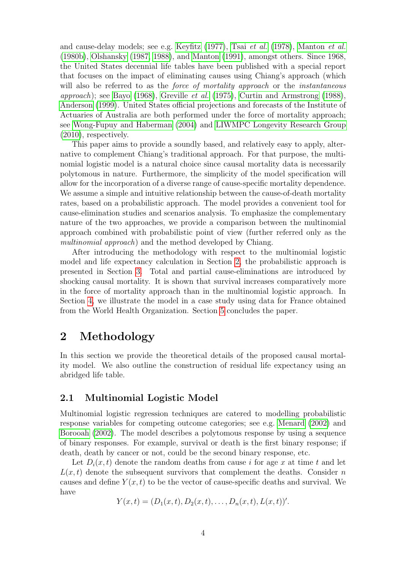and cause-delay models; see e.g. [Keyfitz \(1977\)](#page-19-8), Tsai *[et al.](#page-21-8)* [\(1978\)](#page-21-8), [Manton](#page-20-10) *et al.* [\(1980b\)](#page-20-10), [Olshansky \(1987,](#page-20-11) [1988\)](#page-20-12), and [Manton \(1991\)](#page-19-9), amongst others. Since 1968, the United States decennial life tables have been published with a special report that focuses on the impact of eliminating causes using Chiang's approach (which will also be referred to as the *force of mortality approach* or the *instantaneous approach*); see [Bayo \(1968\)](#page-17-2), [Greville](#page-18-9) *et al.* [\(1975\)](#page-18-9), [Curtin and Armstrong \(1988\)](#page-18-10), [Anderson \(1999\)](#page-17-3). United States official projections and forecasts of the Institute of Actuaries of Australia are both performed under the force of mortality approach; see [Wong-Fupuy and Haberman \(2004\)](#page-21-9) and [LIWMPC Longevity Research Group](#page-19-10) [\(2010\)](#page-19-10), respectively.

This paper aims to provide a soundly based, and relatively easy to apply, alternative to complement Chiang's traditional approach. For that purpose, the multinomial logistic model is a natural choice since causal mortality data is necessarily polytomous in nature. Furthermore, the simplicity of the model specification will allow for the incorporation of a diverse range of cause-specific mortality dependence. We assume a simple and intuitive relationship between the cause-of-death mortality rates, based on a probabilistic approach. The model provides a convenient tool for cause-elimination studies and scenarios analysis. To emphasize the complementary nature of the two approaches, we provide a comparison between the multinomial approach combined with probabilistic point of view (further referred only as the *multinomial approach*) and the method developed by Chiang.

After introducing the methodology with respect to the multinomial logistic model and life expectancy calculation in Section [2,](#page-3-0) the probabilistic approach is presented in Section [3.](#page-6-0) Total and partial cause-eliminations are introduced by shocking causal mortality. It is shown that survival increases comparatively more in the force of mortality approach than in the multinomial logistic approach. In Section [4,](#page-10-0) we illustrate the model in a case study using data for France obtained from the World Health Organization. Section [5](#page-15-0) concludes the paper.

### 2 Methodology

<span id="page-4-1"></span>In this section we provide the theoretical details of the proposed causal mortality model. We also outline the construction of residual life expectancy using an abridged life table.

#### 2.1 Multinomial Logistic Model

<span id="page-4-0"></span>Multinomial logistic regression techniques are catered to modelling probabilistic response variables for competing outcome categories; see e.g. [Menard \(2002\)](#page-20-13) and [Borooah \(2002\)](#page-17-4). The model describes a polytomous response by using a sequence of binary responses. For example, survival or death is the first binary response; if death, death by cancer or not, could be the second binary response, etc.

Let  $D_i(x, t)$  denote the random deaths from cause i for age x at time t and let  $L(x, t)$  denote the subsequent survivors that complement the deaths. Consider n causes and define  $Y(x, t)$  to be the vector of cause-specific deaths and survival. We have

$$
Y(x,t) = (D_1(x,t), D_2(x,t), \ldots, D_n(x,t), L(x,t))'.
$$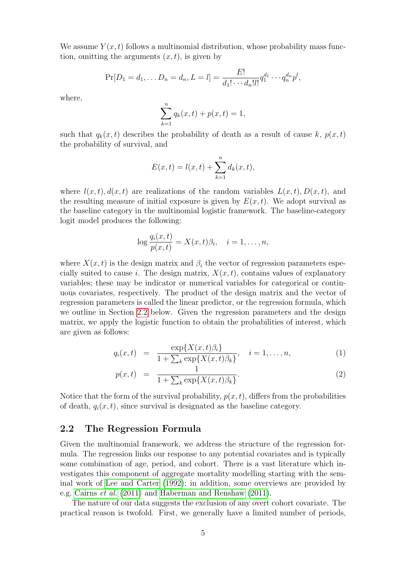We assume  $Y(x, t)$  follows a multinomial distribution, whose probability mass function, omitting the arguments  $(x, t)$ , is given by

$$
\Pr[D_1 = d_1, \dots D_n = d_n, L = l] = \frac{E!}{d_1! \cdots d_n! l!} q_1^{d_1} \cdots q_n^{d_n} p^l,
$$

where,

$$
\sum_{k=1}^{n} q_k(x, t) + p(x, t) = 1,
$$

such that  $q_k(x, t)$  describes the probability of death as a result of cause k,  $p(x, t)$ the probability of survival, and

$$
E(x,t) = l(x,t) + \sum_{k=1}^{n} d_k(x,t),
$$

where  $l(x, t)$ ,  $d(x, t)$  are realizations of the random variables  $L(x, t)$ ,  $D(x, t)$ , and the resulting measure of initial exposure is given by  $E(x, t)$ . We adopt survival as the baseline category in the multinomial logistic framework. The baseline-category logit model produces the following:

$$
\log \frac{q_i(x,t)}{p(x,t)} = X(x,t)\beta_i, \quad i = 1,\ldots,n,
$$

where  $X(x, t)$  is the design matrix and  $\beta_i$ , the vector of regression parameters especially suited to cause i. The design matrix,  $X(x, t)$ , contains values of explanatory variables; these may be indicator or numerical variables for categorical or continuous covariates, respectively. The product of the design matrix and the vector of regression parameters is called the linear predictor, or the regression formula, which we outline in Section [2.2](#page-4-0) below. Given the regression parameters and the design matrix, we apply the logistic function to obtain the probabilities of interest, which are given as follows:

$$
q_i(x,t) = \frac{\exp\{X(x,t)\beta_i\}}{1 + \sum_k \exp\{X(x,t)\beta_k\}}, \quad i = 1, ..., n,
$$
 (1)

$$
p(x,t) = \frac{1}{1 + \sum_{k} \exp\{X(x,t)\beta_k\}}.\tag{2}
$$

Notice that the form of the survival probability,  $p(x, t)$ , differs from the probabilities of death,  $q_i(x, t)$ , since survival is designated as the baseline category.

#### <span id="page-5-0"></span>2.2 The Regression Formula

Given the multinomial framework, we address the structure of the regression formula. The regression links our response to any potential covariates and is typically some combination of age, period, and cohort. There is a vast literature which investigates this component of aggregate mortality modelling starting with the seminal work of [Lee and Carter \(1992\)](#page-19-11); in addition, some overviews are provided by e.g. [Cairns](#page-17-5) *et al.* [\(2011\)](#page-17-5) and [Haberman and Renshaw \(2011\)](#page-18-11).

The nature of our data suggests the exclusion of any overt cohort covariate. The practical reason is twofold. First, we generally have a limited number of periods,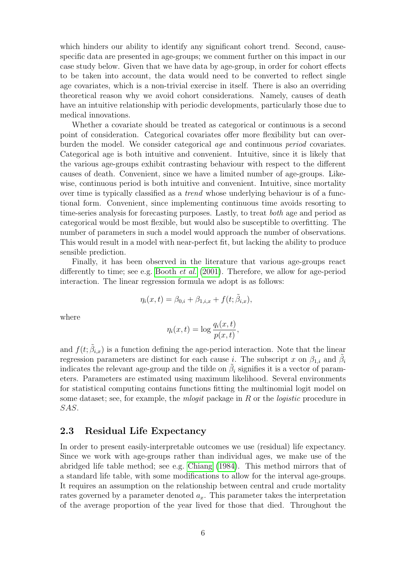which hinders our ability to identify any significant cohort trend. Second, causespecific data are presented in age-groups; we comment further on this impact in our case study below. Given that we have data by age-group, in order for cohort effects to be taken into account, the data would need to be converted to reflect single age covariates, which is a non-trivial exercise in itself. There is also an overriding theoretical reason why we avoid cohort considerations. Namely, causes of death have an intuitive relationship with periodic developments, particularly those due to medical innovations.

<span id="page-6-0"></span>Whether a covariate should be treated as categorical or continuous is a second point of consideration. Categorical covariates offer more flexibility but can overburden the model. We consider categorical *age* and continuous *period* covariates. Categorical age is both intuitive and convenient. Intuitive, since it is likely that the various age-groups exhibit contrasting behaviour with respect to the different causes of death. Convenient, since we have a limited number of age-groups. Likewise, continuous period is both intuitive and convenient. Intuitive, since mortality over time is typically classified as a *trend* whose underlying behaviour is of a functional form. Convenient, since implementing continuous time avoids resorting to time-series analysis for forecasting purposes. Lastly, to treat *both* age and period as categorical would be most flexible, but would also be susceptible to overfitting. The number of parameters in such a model would approach the number of observations. This would result in a model with near-perfect fit, but lacking the ability to produce sensible prediction.

Finally, it has been observed in the literature that various age-groups react differently to time; see e.g. [Booth](#page-17-6) *et al.* [\(2001\)](#page-17-6). Therefore, we allow for age-period interaction. The linear regression formula we adopt is as follows:

$$
\eta_i(x,t) = \beta_{0,i} + \beta_{1,i,x} + f(t; \tilde{\beta}_{i,x}),
$$

where

$$
\eta_i(x,t) = \log \frac{q_i(x,t)}{p(x,t)},
$$

and  $f(t; \tilde{\beta}_{i,x})$  is a function defining the age-period interaction. Note that the linear regression parameters are distinct for each cause *i*. The subscript x on  $\beta_{1,i}$  and  $\tilde{\beta}_{i}$ indicates the relevant age-group and the tilde on  $\tilde{\beta}_i$  signifies it is a vector of parameters. Parameters are estimated using maximum likelihood. Several environments for statistical computing contains functions fitting the multinomial logit model on some dataset; see, for example, the *mlogit* package in R or the *logistic* procedure in SAS.

#### 2.3 Residual Life Expectancy

In order to present easily-interpretable outcomes we use (residual) life expectancy. Since we work with age-groups rather than individual ages, we make use of the abridged life table method; see e.g. [Chiang \(1984\)](#page-18-12). This method mirrors that of a standard life table, with some modifications to allow for the interval age-groups. It requires an assumption on the relationship between central and crude mortality rates governed by a parameter denoted  $a_x$ . This parameter takes the interpretation of the average proportion of the year lived for those that died. Throughout the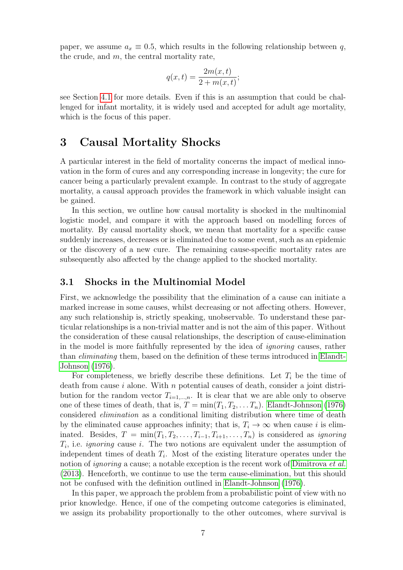paper, we assume  $a_x \equiv 0.5$ , which results in the following relationship between q, the crude, and  $m$ , the central mortality rate,

$$
q(x,t) = \frac{2m(x,t)}{2+m(x,t)};
$$

see Section [4.1](#page-10-1) for more details. Even if this is an assumption that could be challenged for infant mortality, it is widely used and accepted for adult age mortality, which is the focus of this paper.

## 3 Causal Mortality Shocks

<span id="page-7-0"></span>A particular interest in the field of mortality concerns the impact of medical innovation in the form of cures and any corresponding increase in longevity; the cure for cancer being a particularly prevalent example. In contrast to the study of aggregate mortality, a causal approach provides the framework in which valuable insight can be gained.

In this section, we outline how causal mortality is shocked in the multinomial logistic model, and compare it with the approach based on modelling forces of mortality. By causal mortality shock, we mean that mortality for a specific cause suddenly increases, decreases or is eliminated due to some event, such as an epidemic or the discovery of a new cure. The remaining cause-specific mortality rates are subsequently also affected by the change applied to the shocked mortality.

#### 3.1 Shocks in the Multinomial Model

First, we acknowledge the possibility that the elimination of a cause can initiate a marked increase in some causes, whilst decreasing or not affecting others. However, any such relationship is, strictly speaking, unobservable. To understand these particular relationships is a non-trivial matter and is not the aim of this paper. Without the consideration of these causal relationships, the description of cause-elimination in the model is more faithfully represented by the idea of *ignoring* causes, rather than *eliminating* them, based on the definition of these terms introduced in [Elandt-](#page-18-7)[Johnson \(1976\)](#page-18-7).

For completeness, we briefly describe these definitions. Let  $T_i$  be the time of death from cause  $i$  alone. With  $n$  potential causes of death, consider a joint distribution for the random vector  $T_{i=1,\dots,n}$ . It is clear that we are able only to observe one of these times of death, that is,  $T = \min(T_1, T_2, \ldots, T_n)$ . [Elandt-Johnson \(1976\)](#page-18-7) considered *elimination* as a conditional limiting distribution where time of death by the eliminated cause approaches infinity; that is,  $T_i \to \infty$  when cause i is eliminated. Besides,  $T = \min(T_1, T_2, \ldots, T_{i-1}, T_{i+1}, \ldots, T_n)$  is considered as *ignoring*  $T_i$ , i.e. *ignoring* cause i. The two notions are equivalent under the assumption of independent times of death  $T_i$ . Most of the existing literature operates under the notion of *ignoring* a cause; a notable exception is the recent work of [Dimitrova](#page-18-6) *et al.* [\(2013\)](#page-18-6). Henceforth, we continue to use the term cause-elimination, but this should not be confused with the definition outlined in [Elandt-Johnson \(1976\)](#page-18-7).

In this paper, we approach the problem from a probabilistic point of view with no prior knowledge. Hence, if one of the competing outcome categories is eliminated, we assign its probability proportionally to the other outcomes, where survival is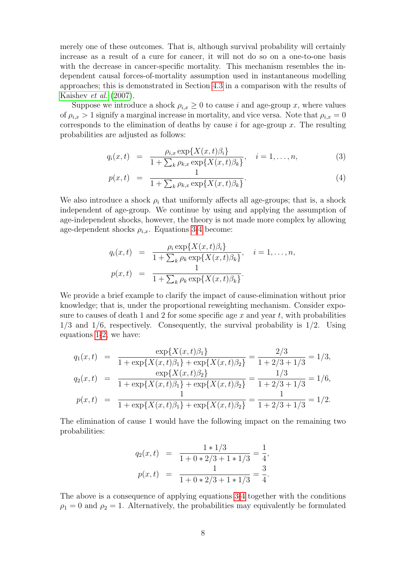merely one of these outcomes. That is, although survival probability will certainly increase as a result of a cure for cancer, it will not do so on a one-to-one basis with the decrease in cancer-specific mortality. This mechanism resembles the independent causal forces-of-mortality assumption used in instantaneous modelling approaches; this is demonstrated in Section [4.3](#page-14-0) in a comparison with the results of [Kaishev](#page-19-6) *et al.* [\(2007\)](#page-19-6).

Suppose we introduce a shock  $\rho_{i,x} \geq 0$  to cause i and age-group x, where values of  $\rho_{i,x} > 1$  signify a marginal increase in mortality, and vice versa. Note that  $\rho_{i,x} = 0$ corresponds to the elimination of deaths by cause  $i$  for age-group  $x$ . The resulting probabilities are adjusted as follows:

$$
q_i(x,t) = \frac{\rho_{i,x} \exp\{X(x,t)\beta_i\}}{1 + \sum_k \rho_{k,x} \exp\{X(x,t)\beta_k\}}, \quad i = 1, ..., n,
$$
 (3)

$$
p(x,t) = \frac{1}{1 + \sum_{k} \rho_{k,x} \exp\{X(x,t)\beta_k\}}.
$$
\n(4)

We also introduce a shock  $\rho_i$  that uniformly affects all age-groups; that is, a shock independent of age-group. We continue by using and applying the assumption of age-independent shocks, however, the theory is not made more complex by allowing age-dependent shocks  $\rho_{i,x}$ . Equations [3-4](#page-7-0) become:

$$
q_i(x,t) = \frac{\rho_i \exp\{X(x,t)\beta_i\}}{1 + \sum_k \rho_k \exp\{X(x,t)\beta_k\}}, \quad i = 1,\ldots,n,
$$
  

$$
p(x,t) = \frac{1}{1 + \sum_k \rho_k \exp\{X(x,t)\beta_k\}}.
$$

We provide a brief example to clarify the impact of cause-elimination without prior knowledge; that is, under the proportional reweighting mechanism. Consider exposure to causes of death 1 and 2 for some specific age  $x$  and year  $t$ , with probabilities  $1/3$  and  $1/6$ , respectively. Consequently, the survival probability is  $1/2$ . Using equations [1-2,](#page-4-1) we have:

$$
q_1(x,t) = \frac{\exp\{X(x,t)\beta_1\}}{1+\exp\{X(x,t)\beta_1\}+\exp\{X(x,t)\beta_2\}} = \frac{2/3}{1+2/3+1/3} = 1/3,
$$
  
\n
$$
q_2(x,t) = \frac{\exp\{X(x,t)\beta_2\}}{1+\exp\{X(x,t)\beta_1\}+\exp\{X(x,t)\beta_2\}} = \frac{1/3}{1+2/3+1/3} = 1/6,
$$
  
\n
$$
p(x,t) = \frac{1}{1+\exp\{X(x,t)\beta_1\}+\exp\{X(x,t)\beta_2\}} = \frac{1}{1+2/3+1/3} = 1/2.
$$

<span id="page-8-0"></span>The elimination of cause 1 would have the following impact on the remaining two probabilities:

$$
q_2(x,t) = \frac{1 \times 1/3}{1 + 0 \times 2/3 + 1 \times 1/3} = \frac{1}{4},
$$
  

$$
p(x,t) = \frac{1}{1 + 0 \times 2/3 + 1 \times 1/3} = \frac{3}{4}.
$$

The above is a consequence of applying equations [3-4](#page-7-0) together with the conditions  $\rho_1 = 0$  and  $\rho_2 = 1$ . Alternatively, the probabilities may equivalently be formulated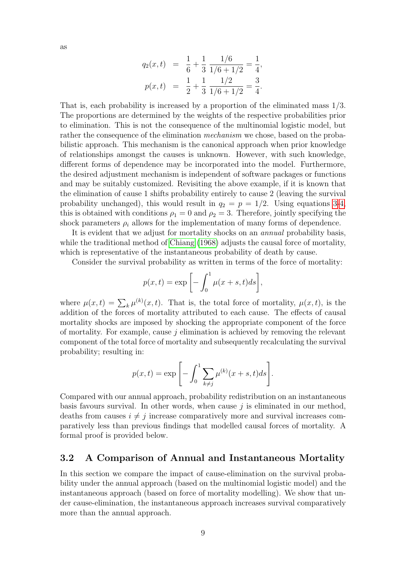as

$$
q_2(x,t) = \frac{1}{6} + \frac{1}{3} \frac{1/6}{1/6 + 1/2} = \frac{1}{4},
$$
  

$$
p(x,t) = \frac{1}{2} + \frac{1}{3} \frac{1/2}{1/6 + 1/2} = \frac{3}{4}.
$$

That is, each probability is increased by a proportion of the eliminated mass 1/3. The proportions are determined by the weights of the respective probabilities prior to elimination. This is not the consequence of the multinomial logistic model, but rather the consequence of the elimination *mechanism* we chose, based on the probabilistic approach. This mechanism is the canonical approach when prior knowledge of relationships amongst the causes is unknown. However, with such knowledge, different forms of dependence may be incorporated into the model. Furthermore, the desired adjustment mechanism is independent of software packages or functions and may be suitably customized. Revisiting the above example, if it is known that the elimination of cause 1 shifts probability entirely to cause 2 (leaving the survival probability unchanged), this would result in  $q_2 = p = 1/2$ . Using equations [3-4,](#page-7-0) this is obtained with conditions  $\rho_1 = 0$  and  $\rho_2 = 3$ . Therefore, jointly specifying the shock parameters  $\rho_i$  allows for the implementation of many forms of dependence.

It is evident that we adjust for mortality shocks on an *annual* probability basis, while the traditional method of [Chiang \(1968\)](#page-18-8) adjusts the causal force of mortality, which is representative of the instantaneous probability of death by cause.

Consider the survival probability as written in terms of the force of mortality:

$$
p(x,t) = \exp\left[-\int_0^1 \mu(x+s,t)ds\right],
$$

where  $\mu(x,t) = \sum_{k} \mu^{(k)}(x,t)$ . That is, the total force of mortality,  $\mu(x,t)$ , is the addition of the forces of mortality attributed to each cause. The effects of causal mortality shocks are imposed by shocking the appropriate component of the force of mortality. For example, cause  $i$  elimination is achieved by removing the relevant component of the total force of mortality and subsequently recalculating the survival probability; resulting in:

$$
p(x,t) = \exp \left[ - \int_0^1 \sum_{k \neq j} \mu^{(k)}(x+s,t) ds \right].
$$

Compared with our annual approach, probability redistribution on an instantaneous basis favours survival. In other words, when cause  $j$  is eliminated in our method, deaths from causes  $i \neq j$  increase comparatively more and survival increases comparatively less than previous findings that modelled causal forces of mortality. A formal proof is provided below.

#### <span id="page-9-0"></span>3.2 A Comparison of Annual and Instantaneous Mortality

In this section we compare the impact of cause-elimination on the survival probability under the annual approach (based on the multinomial logistic model) and the instantaneous approach (based on force of mortality modelling). We show that under cause-elimination, the instantaneous approach increases survival comparatively more than the annual approach.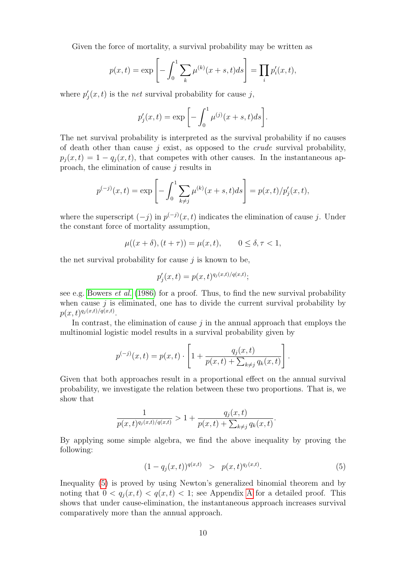<span id="page-10-1"></span><span id="page-10-0"></span>Given the force of mortality, a survival probability may be written as

$$
p(x,t) = \exp \left[ - \int_0^1 \sum_k \mu^{(k)}(x+s,t)ds \right] = \prod_i p'_i(x,t),
$$

where  $p'_{j}(x,t)$  is the *net* survival probability for cause j,

$$
p_j'(x,t) = \exp\left[-\int_0^1 \mu^{(j)}(x+s,t)ds\right].
$$

The net survival probability is interpreted as the survival probability if no causes of death other than cause j exist, as opposed to the *crude* survival probability,  $p_i(x, t) = 1 - q_i(x, t)$ , that competes with other causes. In the instantaneous approach, the elimination of cause  $j$  results in

$$
p^{(-j)}(x,t) = \exp\left[-\int_0^1 \sum_{k \neq j} \mu^{(k)}(x+s,t)ds\right] = p(x,t)/p'_j(x,t),
$$

where the superscript  $(-j)$  in  $p^{(-j)}(x,t)$  indicates the elimination of cause j. Under the constant force of mortality assumption,

$$
\mu((x+\delta), (t+\tau)) = \mu(x, t), \qquad 0 \le \delta, \tau < 1,
$$

<span id="page-10-2"></span>the net survival probability for cause  $j$  is known to be,

$$
p_j'(x,t) = p(x,t)^{q_j(x,t)/q(x,t)};
$$

see e.g. [Bowers](#page-17-7) *et al.* [\(1986\)](#page-17-7) for a proof. Thus, to find the new survival probability when cause  $j$  is eliminated, one has to divide the current survival probability by  $p(x,t)^{q_j(x,t)/q(x,t)}.$ 

<span id="page-10-3"></span>In contrast, the elimination of cause  $j$  in the annual approach that employs the multinomial logistic model results in a survival probability given by

$$
p^{(-j)}(x,t) = p(x,t) \cdot \left[1 + \frac{q_j(x,t)}{p(x,t) + \sum_{k \neq j} q_k(x,t)}\right]
$$

Given that both approaches result in a proportional effect on the annual survival probability, we investigate the relation between these two proportions. That is, we show that

$$
\frac{1}{p(x,t)^{q_j(x,t)/q(x,t)}} > 1 + \frac{q_j(x,t)}{p(x,t) + \sum_{k \neq j} q_k(x,t)}.
$$

By applying some simple algebra, we find the above inequality by proving the following:

$$
(1 - q_j(x, t))^{q(x, t)} > p(x, t)^{q_j(x, t)}.
$$
\n(5)

.

Inequality [\(5\)](#page-9-0) is proved by using Newton's generalized binomial theorem and by noting that  $0 < q_i(x,t) < q(x,t) < 1$ ; see [A](#page-21-10)ppendix A for a detailed proof. This shows that under cause-elimination, the instantaneous approach increases survival comparatively more than the annual approach.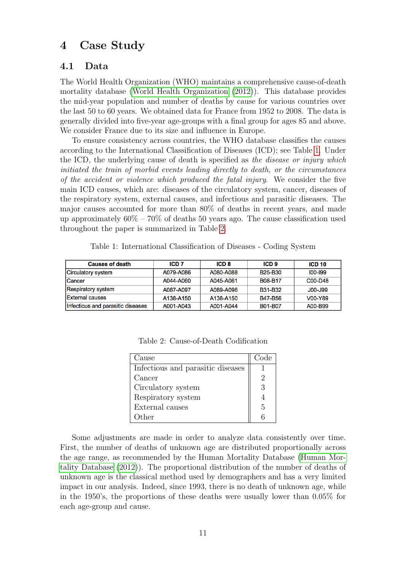## 4 Case Study

#### 4.1 Data

The World Health Organization (WHO) maintains a comprehensive cause-of-death mortality database [\(World Health Organization \(2012\)](#page-21-11)). This database provides the mid-year population and number of deaths by cause for various countries over the last 50 to 60 years. We obtained data for France from 1952 to 2008. The data is generally divided into five-year age-groups with a final group for ages 85 and above. We consider France due to its size and influence in Europe.

To ensure consistency across countries, the WHO database classifies the causes according to the International Classification of Diseases (ICD); see Table [1.](#page-10-2) Under the ICD, the underlying cause of death is specified as *the disease or injury which initiated the train of morbid events leading directly to death, or the circumstances of the accident or violence which produced the fatal injury*. We consider the five main ICD causes, which are: diseases of the circulatory system, cancer, diseases of the respiratory system, external causes, and infectious and parasitic diseases. The major causes accounted for more than 80% of deaths in recent years, and made up approximately  $60\% - 70\%$  of deaths 50 years ago. The cause classification used throughout the paper is summarized in Table [2.](#page-10-3)

| <b>Causes of death</b>            | ICD <sub>7</sub> | ICD <sub>8</sub> | ICD <sub>9</sub>                 | ICD <sub>10</sub> |
|-----------------------------------|------------------|------------------|----------------------------------|-------------------|
| Circulatory system                | A079-A086        | A080-A088        | B <sub>25</sub> -B <sub>30</sub> | $100 - 199$       |
| ICancer                           | A044-A060        | A045-A061        | <b>B08-B17</b>                   | C00-D48           |
| Respiratory system                | A087-A097        | A089-A096        | <b>B31-B32</b>                   | <b>JOO-J99</b>    |
| <b>IExternal causes</b>           | A138-A150        | A138-A150        | <b>B47-B56</b>                   | V00-Y89           |
| Infectious and parasitic diseases | A001-A043        | A001-A044        | B01-B07                          | A00-B99           |

Table 1: International Classification of Diseases - Coding System

| Cause                             | Code |
|-----------------------------------|------|
| Infectious and parasitic diseases |      |
| Cancer                            | 2    |
| Circulatory system                | 3    |
| Respiratory system                |      |
| External causes                   | 5    |
| )ther                             |      |

Table 2: Cause-of-Death Codification

Some adjustments are made in order to analyze data consistently over time. First, the number of deaths of unknown age are distributed proportionally across the age range, as recommended by the Human Mortality Database [\(Human Mor](#page-19-12)[tality Database \(2012\)](#page-19-12)). The proportional distribution of the number of deaths of unknown age is the classical method used by demographers and has a very limited impact in our analysis. Indeed, since 1993, there is no death of unknown age, while in the 1950's, the proportions of these deaths were usually lower than 0.05% for each age-group and cause.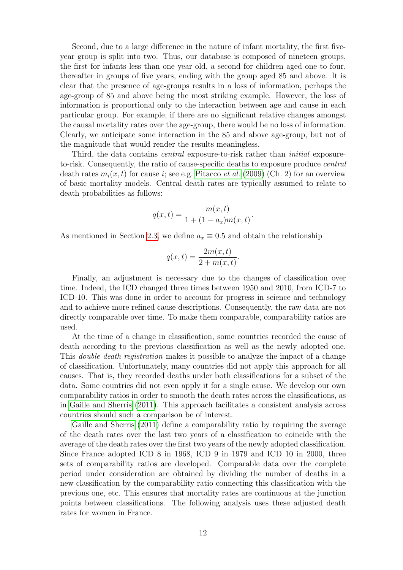Second, due to a large difference in the nature of infant mortality, the first fiveyear group is split into two. Thus, our database is composed of nineteen groups, the first for infants less than one year old, a second for children aged one to four, thereafter in groups of five years, ending with the group aged 85 and above. It is clear that the presence of age-groups results in a loss of information, perhaps the age-group of 85 and above being the most striking example. However, the loss of information is proportional only to the interaction between age and cause in each particular group. For example, if there are no significant relative changes amongst the causal mortality rates over the age-group, there would be no loss of information. Clearly, we anticipate some interaction in the 85 and above age-group, but not of the magnitude that would render the results meaningless.

<span id="page-12-0"></span>Third, the data contains *central* exposure-to-risk rather than *initial* exposureto-risk. Consequently, the ratio of cause-specific deaths to exposure produce *central* death rates  $m_i(x, t)$  for cause *i*; see e.g. [Pitacco](#page-20-14) *et al.* [\(2009\)](#page-20-14) (Ch. 2) for an overview of basic mortality models. Central death rates are typically assumed to relate to death probabilities as follows:

$$
q(x,t) = \frac{m(x,t)}{1 + (1 - a_x)m(x,t)}.
$$

As mentioned in Section [2.3,](#page-5-0) we define  $a_x \equiv 0.5$  and obtain the relationship

$$
q(x,t) = \frac{2m(x,t)}{2+m(x,t)}.
$$

Finally, an adjustment is necessary due to the changes of classification over time. Indeed, the ICD changed three times between 1950 and 2010, from ICD-7 to ICD-10. This was done in order to account for progress in science and technology and to achieve more refined cause descriptions. Consequently, the raw data are not directly comparable over time. To make them comparable, comparability ratios are used.

At the time of a change in classification, some countries recorded the cause of death according to the previous classification as well as the newly adopted one. This *double death registration* makes it possible to analyze the impact of a change of classification. Unfortunately, many countries did not apply this approach for all causes. That is, they recorded deaths under both classifications for a subset of the data. Some countries did not even apply it for a single cause. We develop our own comparability ratios in order to smooth the death rates across the classifications, as in [Gaille and Sherris \(2011\)](#page-18-13). This approach facilitates a consistent analysis across countries should such a comparison be of interest.

[Gaille and Sherris \(2011\)](#page-18-13) define a comparability ratio by requiring the average of the death rates over the last two years of a classification to coincide with the average of the death rates over the first two years of the newly adopted classification. Since France adopted ICD 8 in 1968, ICD 9 in 1979 and ICD 10 in 2000, three sets of comparability ratios are developed. Comparable data over the complete period under consideration are obtained by dividing the number of deaths in a new classification by the comparability ratio connecting this classification with the previous one, etc. This ensures that mortality rates are continuous at the junction points between classifications. The following analysis uses these adjusted death rates for women in France.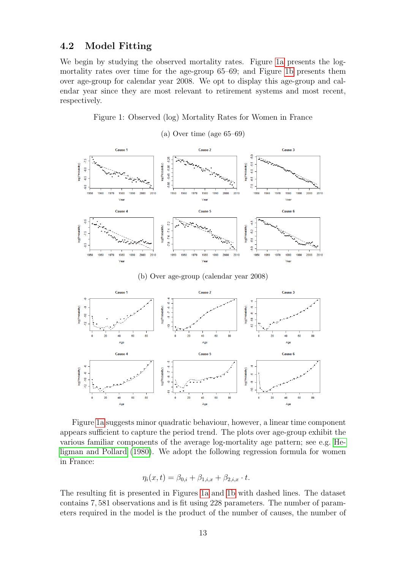#### 4.2 Model Fitting

We begin by studying the observed mortality rates. Figure [1a](#page-12-0) presents the logmortality rates over time for the age-group 65–69; and Figure [1b](#page-12-0) presents them over age-group for calendar year 2008. We opt to display this age-group and calendar year since they are most relevant to retirement systems and most recent, respectively.

Figure 1: Observed (log) Mortality Rates for Women in France

<span id="page-13-0"></span>

(a) Over time (age 65–69)

(b) Over age-group (calendar year 2008)



Figure [1a](#page-12-0) suggests minor quadratic behaviour, however, a linear time component appears sufficient to capture the period trend. The plots over age-group exhibit the various familiar components of the average log-mortality age pattern; see e.g. [He](#page-19-13)[ligman and Pollard \(1980\)](#page-19-13). We adopt the following regression formula for women in France:

$$
\eta_i(x, t) = \beta_{0,i} + \beta_{1,i,x} + \beta_{2,i,x} \cdot t.
$$

The resulting fit is presented in Figures [1a](#page-12-0) and [1b](#page-12-0) with dashed lines. The dataset contains 7, 581 observations and is fit using 228 parameters. The number of parameters required in the model is the product of the number of causes, the number of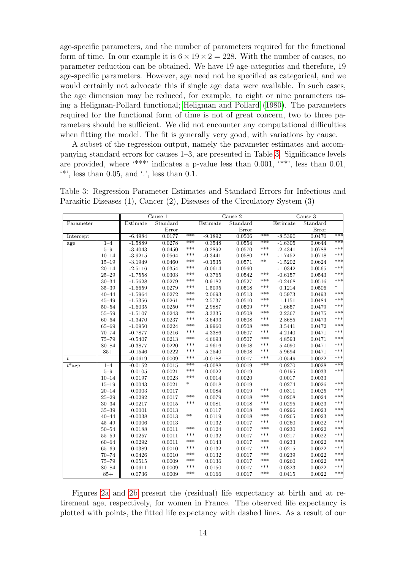<span id="page-14-1"></span>age-specific parameters, and the number of parameters required for the functional form of time. In our example it is  $6 \times 19 \times 2 = 228$ . With the number of causes, no parameter reduction can be obtained. We have 19 age-categories and therefore, 19 age-specific parameters. However, age need not be specified as categorical, and we would certainly not advocate this if single age data were available. In such cases, the age dimension may be reduced, for example, to eight or nine parameters using a Heligman-Pollard functional; [Heligman and Pollard \(1980\)](#page-19-13). The parameters required for the functional form of time is not of great concern, two to three parameters should be sufficient. We did not encounter any computational difficulties when fitting the model. The fit is generally very good, with variations by cause.

A subset of the regression output, namely the parameter estimates and accompanying standard errors for causes 1–3, are presented in Table [3.](#page-13-0) Significance levels are provided, where '\*\*\*' indicates a p-value less than 0.001, '\*\*', less than 0.01,  $'$ <sup>\*</sup>', less than 0.05, and '.', less than 0.1.

| Table 3: Regression Parameter Estimates and Standard Errors for Infectious and     |  |  |  |  |
|------------------------------------------------------------------------------------|--|--|--|--|
| Parasitic Diseases $(1)$ , Cancer $(2)$ , Diseases of the Circulatory System $(3)$ |  |  |  |  |

<span id="page-14-0"></span>

|                          |           | Cause 1   |          |        | Cause 2   |          |       | Cause 3   |          |        |
|--------------------------|-----------|-----------|----------|--------|-----------|----------|-------|-----------|----------|--------|
| Parameter                |           | Estimate  | Standard |        | Estimate  | Standard |       | Estimate  | Standard |        |
|                          |           |           | Error    |        |           | Error    |       |           | Error    |        |
| Intercept                |           | $-6.4984$ | 0.0177   | ***    | $-9.1892$ | 0.0506   | $***$ | $-8.5390$ | 0.0470   | $***$  |
| age                      | $1 - 4$   | $-1.5889$ | 0.0278   | ***    | 0.3548    | 0.0554   | ***   | $-1.6305$ | 0.0644   | ***    |
|                          | $5 - 9$   | $-3.4043$ | 0.0450   | ***    | $-0.2892$ | 0.0570   | ***   | $-2.4341$ | 0.0788   | ***    |
|                          | $10 - 14$ | $-3.9215$ | 0.0564   | ***    | $-0.3441$ | 0.0580   | ***   | $-1.7452$ | 0.0718   | ***    |
|                          | $15 - 19$ | $-3.1949$ | 0.0460   | ***    | $-0.1535$ | 0.0571   | $***$ | $-1.5202$ | 0.0624   | ***    |
|                          | $20 - 14$ | $-2.5116$ | 0.0354   | ***    | $-0.0614$ | 0.0560   |       | $-1.0342$ | 0.0565   | ***    |
|                          | $25 - 29$ | $-1.7558$ | 0.0303   | ***    | 0.3765    | 0.0542   | ***   | $-0.6157$ | 0.0543   | ***    |
|                          | $30 - 34$ | $-1.5628$ | 0.0279   | ***    | 0.9182    | 0.0527   | ***   | $-0.2468$ | 0.0516   | ***    |
|                          | $35 - 39$ | $-1.6659$ | 0.0279   | ***    | 1.5095    | 0.0518   | $***$ | 0.1214    | 0.0506   | $\ast$ |
|                          | $40 - 44$ | $-1.5964$ | 0.0272   | ***    | 2.0693    | 0.0513   | $***$ | 0.5973    | 0.0493   | ***    |
|                          | $45 - 49$ | $-1.5356$ | 0.0261   | ***    | 2.5737    | 0.0510   | ***   | 1.1151    | 0.0484   | ***    |
|                          | $50 - 54$ | $-1.6035$ | 0.0250   | ***    | 2.9887    | 0.0509   | ***   | 1.6657    | 0.0479   | ***    |
|                          | $55 - 59$ | $-1.5107$ | 0.0243   | ***    | 3.3335    | 0.0508   | ***   | 2.2367    | 0.0475   | ***    |
|                          | $60 - 64$ | $-1.3470$ | 0.0237   | ***    | 3.6493    | 0.0508   | ***   | 2.8685    | 0.0473   | ***    |
|                          | $65 - 69$ | $-1.0950$ | 0.0224   | ***    | 3.9960    | 0.0508   | ***   | 3.5441    | 0.0472   | ***    |
|                          | $70 - 74$ | $-0.7877$ | 0.0216   | ***    | 4.3386    | 0.0507   | ***   | 4.2140    | 0.0471   | ***    |
|                          | $75 - 79$ | $-0.5407$ | 0.0213   | ***    | 4.6693    | 0.0507   | ***   | 4.8593    | 0.0471   | ***    |
|                          | $80 - 84$ | $-0.3877$ | 0.0220   | ***    | 4.9616    | 0.0508   | ***   | 5.4090    | 0.0471   | ***    |
|                          | $85+$     | $-0.1546$ | 0.0222   | ***    | 5.2540    | 0.0508   | $***$ | 5.9694    | 0.0471   | ***    |
| $\boldsymbol{t}$         |           | $-0.0619$ | 0.0009   | ***    | $-0.0188$ | 0.0017   | ***   | $-0.0549$ | 0.0022   | $***$  |
| $\overline{t^* \rm age}$ | $1 - 4$   | $-0.0152$ | 0.0015   | ***    | $-0.0088$ | 0.0019   | $***$ | 0.0270    | 0.0028   | ***    |
|                          | $5 - 9$   | 0.0105    | 0.0021   | ***    | 0.0022    | 0.0019   |       | 0.0195    | 0.0033   | ***    |
|                          | $10 - 14$ | 0.0197    | 0.0023   | ***    | 0.0014    | 0.0020   |       | 0.0017    | 0.0033   |        |
|                          | $15 - 19$ | 0.0043    | 0.0021   | $\ast$ | 0.0018    | 0.0019   |       | 0.0274    | 0.0026   | ***    |
|                          | $20 - 14$ | 0.0003    | 0.0017   |        | 0.0084    | 0.0019   | ***   | 0.0311    | 0.0025   | ***    |
|                          | $25 - 29$ | $-0.0292$ | 0.0017   | ***    | 0.0079    | 0.0018   | ***   | 0.0208    | 0.0024   | ***    |
|                          | $30 - 34$ | $-0.0217$ | 0.0015   | ***    | 0.0081    | 0.0018   | ***   | 0.0295    | 0.0023   | ***    |
|                          | $35 - 39$ | 0.0001    | 0.0013   |        | 0.0117    | 0.0018   | ***   | 0.0296    | 0.0023   | ***    |
|                          | $40 - 44$ | $-0.0038$ | 0.0013   | $***$  | 0.0119    | 0.0018   | ***   | 0.0265    | 0.0023   | ***    |
|                          | $45 - 49$ | 0.0006    | 0.0013   |        | 0.0132    | 0.0017   | ***   | 0.0260    | 0.0022   | ***    |
|                          | $50 - 54$ | 0.0188    | 0.0011   | ***    | 0.0124    | 0.0017   | ***   | 0.0230    | 0.0022   | ***    |
|                          | $55 - 59$ | 0.0257    | 0.0011   | ***    | 0.0132    | 0.0017   | ***   | 0.0217    | 0.0022   | ***    |
|                          | $60 - 64$ | 0.0292    | 0.0011   | ***    | 0.0143    | 0.0017   | ***   | 0.0233    | 0.0022   | ***    |
|                          | $65 - 69$ | 0.0389    | 0.0010   | ***    | 0.0132    | 0.0017   | ***   | 0.0215    | 0.0022   | ***    |
|                          | $70 - 74$ | 0.0426    | 0.0010   | ***    | 0.0132    | 0.0017   | ***   | 0.0239    | 0.0022   | ***    |
|                          | $75 - 79$ | 0.0515    | 0.0009   | ***    | 0.0136    | 0.0017   | ***   | 0.0260    | 0.0022   | ***    |
|                          | $80 - 84$ | 0.0611    | 0.0009   | ***    | 0.0150    | 0.0017   | ***   | 0.0323    | 0.0022   | ***    |
|                          | $85+$     | 0.0736    | 0.0009   | ***    | 0.0166    | 0.0017   | ***   | 0.0415    | 0.0022   | ***    |

Figures [2a](#page-14-1) and [2b](#page-14-1) present the (residual) life expectancy at birth and at retirement age, respectively, for women in France. The observed life expectancy is plotted with points, the fitted life expectancy with dashed lines. As a result of our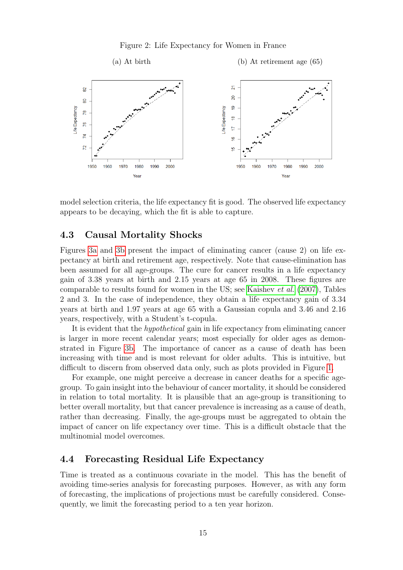Figure 2: Life Expectancy for Women in France

<span id="page-15-1"></span>

model selection criteria, the life expectancy fit is good. The observed life expectancy appears to be decaying, which the fit is able to capture.

#### 4.3 Causal Mortality Shocks

Figures [3a](#page-15-1) and [3b](#page-15-1) present the impact of eliminating cancer (cause 2) on life expectancy at birth and retirement age, respectively. Note that cause-elimination has been assumed for all age-groups. The cure for cancer results in a life expectancy gain of 3.38 years at birth and 2.15 years at age 65 in 2008. These figures are comparable to results found for women in the US; see [Kaishev](#page-19-6) *et al.* [\(2007\)](#page-19-6), Tables 2 and 3. In the case of independence, they obtain a life expectancy gain of 3.34 years at birth and 1.97 years at age 65 with a Gaussian copula and 3.46 and 2.16 years, respectively, with a Student's t-copula.

It is evident that the *hypothetical* gain in life expectancy from eliminating cancer is larger in more recent calendar years; most especially for older ages as demonstrated in Figure [3b.](#page-15-1) The importance of cancer as a cause of death has been increasing with time and is most relevant for older adults. This is intuitive, but difficult to discern from observed data only, such as plots provided in Figure [1.](#page-12-0)

<span id="page-15-0"></span>For example, one might perceive a decrease in cancer deaths for a specific agegroup. To gain insight into the behaviour of cancer mortality, it should be considered in relation to total mortality. It is plausible that an age-group is transitioning to better overall mortality, but that cancer prevalence is increasing as a cause of death, rather than decreasing. Finally, the age-groups must be aggregated to obtain the impact of cancer on life expectancy over time. This is a difficult obstacle that the multinomial model overcomes.

#### 4.4 Forecasting Residual Life Expectancy

Time is treated as a continuous covariate in the model. This has the benefit of avoiding time-series analysis for forecasting purposes. However, as with any form of forecasting, the implications of projections must be carefully considered. Consequently, we limit the forecasting period to a ten year horizon.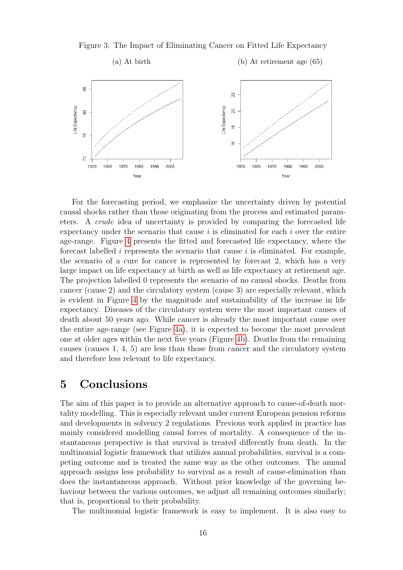

Figure 3: The Impact of Eliminating Cancer on Fitted Life Expectancy

<span id="page-16-0"></span>For the forecasting period, we emphasize the uncertainty driven by potential causal shocks rather than those originating from the process and estimated parameters. A *crude* idea of uncertainty is provided by comparing the forecasted life expectancy under the scenario that cause  $i$  is eliminated for each  $i$  over the entire age-range. Figure [4](#page-16-0) presents the fitted and forecasted life expectancy, where the forecast labelled  $i$  represents the scenario that cause  $i$  is eliminated. For example, the scenario of a cure for cancer is represented by forecast 2, which has a very large impact on life expectancy at birth as well as life expectancy at retirement age. The projection labelled 0 represents the scenario of no causal shocks. Deaths from cancer (cause 2) and the circulatory system (cause 3) are especially relevant, which is evident in Figure [4](#page-16-0) by the magnitude and sustainability of the increase in life expectancy. Diseases of the circulatory system were the most important causes of death about 50 years ago. While cancer is already the most important cause over the entire age-range (see Figure [4a\)](#page-16-0), it is expected to become the most prevalent one at older ages within the next five years (Figure [4b\)](#page-16-0). Deaths from the remaining causes (causes 1, 4, 5) are less than those from cancer and the circulatory system and therefore less relevant to life expectancy.

## 5 Conclusions

The aim of this paper is to provide an alternative approach to cause-of-death mortality modelling. This is especially relevant under current European pension reforms and developments in solvency 2 regulations. Previous work applied in practice has mainly considered modelling causal forces of mortality. A consequence of the instantaneous perspective is that survival is treated differently from death. In the multinomial logistic framework that utilizes annual probabilities, survival is a competing outcome and is treated the same way as the other outcomes. The annual approach assigns less probability to survival as a result of cause-elimination than does the instantaneous approach. Without prior knowledge of the governing behaviour between the various outcomes, we adjust all remaining outcomes similarly; that is, proportional to their probability.

The multinomial logistic framework is easy to implement. It is also easy to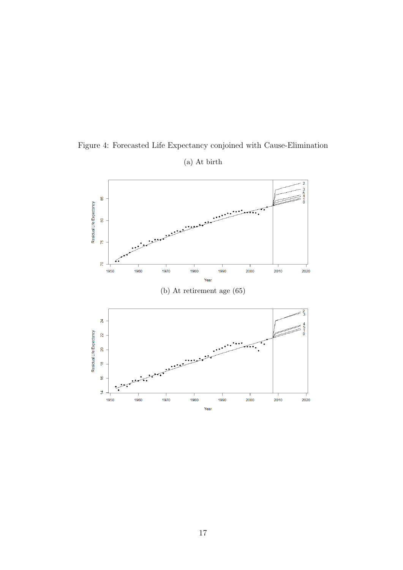<span id="page-17-7"></span><span id="page-17-6"></span><span id="page-17-5"></span><span id="page-17-4"></span><span id="page-17-3"></span><span id="page-17-2"></span><span id="page-17-1"></span><span id="page-17-0"></span>

Figure 4: Forecasted Life Expectancy conjoined with Cause-Elimination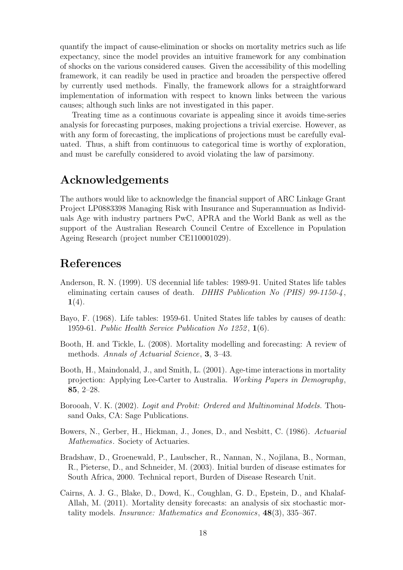<span id="page-18-5"></span><span id="page-18-3"></span>quantify the impact of cause-elimination or shocks on mortality metrics such as life expectancy, since the model provides an intuitive framework for any combination of shocks on the various considered causes. Given the accessibility of this modelling framework, it can readily be used in practice and broaden the perspective offered by currently used methods. Finally, the framework allows for a straightforward implementation of information with respect to known links between the various causes; although such links are not investigated in this paper.

<span id="page-18-8"></span><span id="page-18-4"></span>Treating time as a continuous covariate is appealing since it avoids time-series analysis for forecasting purposes, making projections a trivial exercise. However, as with any form of forecasting, the implications of projections must be carefully evaluated. Thus, a shift from continuous to categorical time is worthy of exploration, and must be carefully considered to avoid violating the law of parsimony.

## <span id="page-18-12"></span>Acknowledgements

<span id="page-18-10"></span><span id="page-18-6"></span>The authors would like to acknowledge the financial support of ARC Linkage Grant Project LP0883398 Managing Risk with Insurance and Superannuation as Individuals Age with industry partners PwC, APRA and the World Bank as well as the support of the Australian Research Council Centre of Excellence in Population Ageing Research (project number CE110001029).

## <span id="page-18-0"></span>References

- <span id="page-18-7"></span>Anderson, R. N. (1999). US decennial life tables: 1989-91. United States life tables eliminating certain causes of death. *DHHS Publication No (PHS) 99-1150-4* ,  $1(4).$
- <span id="page-18-1"></span>Bayo, F. (1968). Life tables: 1959-61. United States life tables by causes of death: 1959-61. *Public Health Service Publication No 1252* , 1(6).
- Booth, H. and Tickle, L. (2008). Mortality modelling and forecasting: A review of methods. *Annals of Actuarial Science*, 3, 3–43.
- <span id="page-18-13"></span>Booth, H., Maindonald, J., and Smith, L. (2001). Age-time interactions in mortality projection: Applying Lee-Carter to Australia. *Working Papers in Demography*, 85, 2–28.
- <span id="page-18-9"></span>Borooah, V. K. (2002). *Logit and Probit: Ordered and Multinominal Models.* Thousand Oaks, CA: Sage Publications.
- <span id="page-18-2"></span>Bowers, N., Gerber, H., Hickman, J., Jones, D., and Nesbitt, C. (1986). *Actuarial Mathematics*. Society of Actuaries.
- <span id="page-18-11"></span>Bradshaw, D., Groenewald, P., Laubscher, R., Nannan, N., Nojilana, B., Norman, R., Pieterse, D., and Schneider, M. (2003). Initial burden of disease estimates for South Africa, 2000. Technical report, Burden of Disease Research Unit.
- Cairns, A. J. G., Blake, D., Dowd, K., Coughlan, G. D., Epstein, D., and Khalaf-Allah, M. (2011). Mortality density forecasts: an analysis of six stochastic mortality models. *Insurance: Mathematics and Economics*, 48(3), 335–367.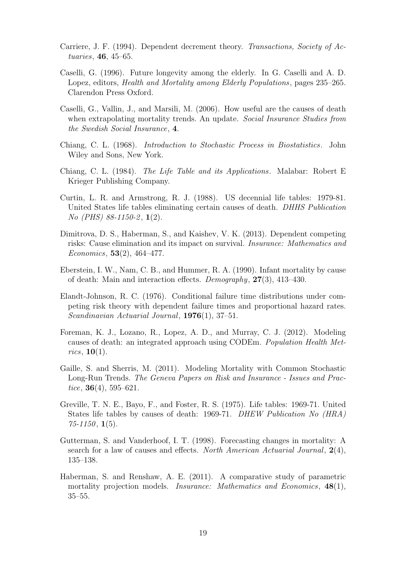- <span id="page-19-13"></span>Carriere, J. F. (1994). Dependent decrement theory. *Transactions, Society of Actuaries*, 46, 45–65.
- <span id="page-19-4"></span>Caselli, G. (1996). Future longevity among the elderly. In G. Caselli and A. D. Lopez, editors, *Health and Mortality among Elderly Populations*, pages 235–265. Clarendon Press Oxford.
- <span id="page-19-12"></span>Caselli, G., Vallin, J., and Marsili, M. (2006). How useful are the causes of death when extrapolating mortality trends. An update. *Social Insurance Studies from the Swedish Social Insurance*, 4.
- <span id="page-19-1"></span>Chiang, C. L. (1968). *Introduction to Stochastic Process in Biostatistics*. John Wiley and Sons, New York.
- <span id="page-19-6"></span>Chiang, C. L. (1984). *The Life Table and its Applications*. Malabar: Robert E Krieger Publishing Company.
- <span id="page-19-8"></span>Curtin, L. R. and Armstrong, R. J. (1988). US decennial life tables: 1979-81. United States life tables eliminating certain causes of death. *DHHS Publication No (PHS) 88-1150-2* , 1(2).
- <span id="page-19-0"></span>Dimitrova, D. S., Haberman, S., and Kaishev, V. K. (2013). Dependent competing risks: Cause elimination and its impact on survival. *Insurance: Mathematics and Economics*, 53(2), 464–477.
- <span id="page-19-11"></span>Eberstein, I. W., Nam, C. B., and Hummer, R. A. (1990). Infant mortality by cause of death: Main and interaction effects. *Demography*, 27(3), 413–430.
- <span id="page-19-2"></span>Elandt-Johnson, R. C. (1976). Conditional failure time distributions under competing risk theory with dependent failure times and proportional hazard rates. *Scandinavian Actuarial Journal*, 1976(1), 37–51.
- <span id="page-19-10"></span>Foreman, K. J., Lozano, R., Lopez, A. D., and Murray, C. J. (2012). Modeling causes of death: an integrated approach using CODEm. *Population Health Metrics*, 10(1).
- <span id="page-19-7"></span>Gaille, S. and Sherris, M. (2011). Modeling Mortality with Common Stochastic Long-Run Trends. *The Geneva Papers on Risk and Insurance - Issues and Practice*, 36(4), 595–621.
- <span id="page-19-3"></span>Greville, T. N. E., Bayo, F., and Foster, R. S. (1975). Life tables: 1969-71. United States life tables by causes of death: 1969-71. *DHEW Publication No (HRA) 75-1150* , 1(5).
- <span id="page-19-9"></span>Gutterman, S. and Vanderhoof, I. T. (1998). Forecasting changes in mortality: A search for a law of causes and effects. *North American Actuarial Journal*, 2(4), 135–138.
- <span id="page-19-5"></span>Haberman, S. and Renshaw, A. E. (2011). A comparative study of parametric mortality projection models. *Insurance: Mathematics and Economics*, 48(1), 35–55.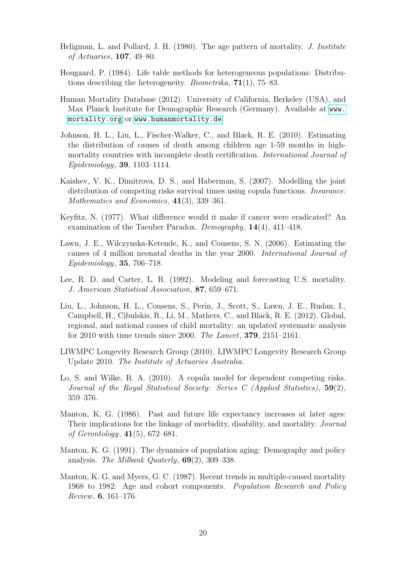- <span id="page-20-7"></span>Heligman, L. and Pollard, J. H. (1980). The age pattern of mortality. *J. Institute of Actuaries*, 107, 49–80.
- <span id="page-20-6"></span>Hougaard, P. (1984). Life table methods for heterogeneous populations: Distributions describing the heterogeneity. *Biometrika*, 71(1), 75–83.
- <span id="page-20-8"></span>Human Mortality Database (2012). University of California, Berkeley (USA), and Max Planck Institute for Demographic Research (Germany). Available at [www.](www.mortality.org) [mortality.org](www.mortality.org) or <www.humanmortality.de>.
- <span id="page-20-10"></span><span id="page-20-5"></span>Johnson, H. L., Liu, L., Fischer-Walker, C., and Black, R. E. (2010). Estimating the distribution of causes of death among children age 1-59 months in highmortality countries with incomplete death certification. *International Journal of Epidemiology*, 39, 1103–1114.
- <span id="page-20-3"></span>Kaishev, V. K., Dimitrova, D. S., and Haberman, S. (2007). Modelling the joint distribution of competing risks survival times using copula functions. *Insurance: Mathematics and Economics*, 41(3), 339–361.
- <span id="page-20-13"></span>Keyfitz, N. (1977). What difference would it make if cancer were eradicated? An examination of the Taeuber Paradox. *Demography*, 14(4), 411–418.
- <span id="page-20-0"></span>Lawn, J. E., Wilczynska-Ketende, K., and Cousens, S. N. (2006). Estimating the causes of 4 million neonatal deaths in the year 2000. *International Journal of Epidemiology*, 35, 706–718.
- <span id="page-20-11"></span>Lee, R. D. and Carter, L. R. (1992). Modeling and forecasting U.S. mortality. *J. American Statistical Association*, 87, 659–671.
- <span id="page-20-12"></span>Liu, L., Johnson, H. L., Cousens, S., Perin, J., Scott, S., Lawn, J. E., Rudan, I., Campbell, H., Cibulskis, R., Li, M., Mathers, C., and Black, R. E. (2012). Global, regional, and national causes of child mortality: an updated systematic analysis for 2010 with time trends since 2000. *The Lancet*, 379, 2151–2161.
- <span id="page-20-1"></span>LIWMPC Longevity Research Group (2010). LIWMPC Longevity Research Group Update 2010. *The Institute of Actuaries Australia*.
- <span id="page-20-14"></span>Lo, S. and Wilke, R. A. (2010). A copula model for dependent competing risks. *Journal of the Royal Statistical Society: Series C (Applied Statistics)*, 59(2), 359–376.
- <span id="page-20-9"></span>Manton, K. G. (1986). Past and future life expectancy increases at later ages: Their implications for the linkage of morbidity, disability, and mortality. *Journal of Gerontology*, 41(5), 672–681.
- <span id="page-20-2"></span>Manton, K. G. (1991). The dynamics of population aging: Demography and policy analysis. *The Milbank Quaterly*, 69(2), 309–338.
- <span id="page-20-4"></span>Manton, K. G. and Myers, G. C. (1987). Recent trends in multiple-caused mortality 1968 to 1982: Age and cohort components. *Population Research and Policy Review*, 6, 161–176.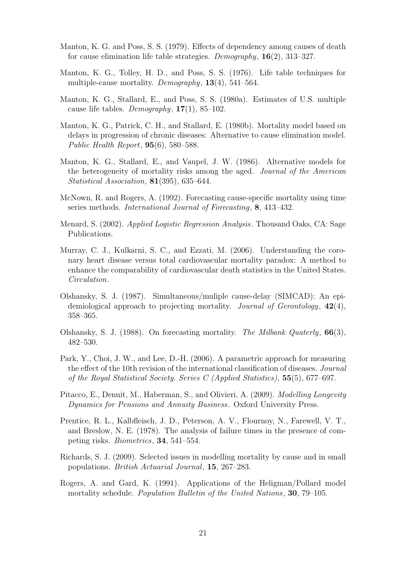- <span id="page-21-6"></span>Manton, K. G. and Poss, S. S. (1979). Effects of dependency among causes of death for cause elimination life table strategies. *Demography*, 16(2), 313–327.
- <span id="page-21-0"></span>Manton, K. G., Tolley, H. D., and Poss, S. S. (1976). Life table techniques for multiple-cause mortality. *Demography*, 13(4), 541–564.
- Manton, K. G., Stallard, E., and Poss, S. S. (1980a). Estimates of U.S. multiple cause life tables. *Demography*, 17(1), 85–102.
- <span id="page-21-5"></span>Manton, K. G., Patrick, C. H., and Stallard, E. (1980b). Mortality model based on delays in progression of chronic diseases: Alternative to cause elimination model. *Public Health Report*, 95(6), 580–588.
- <span id="page-21-2"></span>Manton, K. G., Stallard, E., and Vaupel, J. W. (1986). Alternative models for the heterogeneity of mortality risks among the aged. *Journal of the American Statistical Association*, 81(395), 635–644.
- <span id="page-21-8"></span>McNown, R. and Rogers, A. (1992). Forecasting cause-specific mortality using time series methods. *International Journal of Forecasting*, 8, 413–432.
- <span id="page-21-1"></span>Menard, S. (2002). *Applied Logistic Regression Analysis*. Thousand Oaks, CA: Sage Publications.
- <span id="page-21-7"></span>Murray, C. J., Kulkarni, S. C., and Ezzati, M. (2006). Understanding the coronary heart disease versus total cardiovascular mortality paradox: A method to enhance the comparability of cardiovascular death statistics in the United States. *Circulation*.
- <span id="page-21-4"></span>Olshansky, S. J. (1987). Simultaneous/muliple cause-delay (SIMCAD): An epidemiological approach to projecting mortality. *Journal of Gerontology*, 42(4), 358–365.
- <span id="page-21-3"></span>Olshansky, S. J. (1988). On forecasting mortality. *The Milbank Quaterly*, 66(3), 482–530.
- <span id="page-21-9"></span>Park, Y., Choi, J. W., and Lee, D.-H. (2006). A parametric approach for measuring the effect of the 10th revision of the international classification of diseases. *Journal of the Royal Statistical Society. Series C (Applied Statistics)*, 55(5), 677–697.
- <span id="page-21-11"></span>Pitacco, E., Denuit, M., Haberman, S., and Olivieri, A. (2009). *Modelling Longevity Dynamics for Pensions and Annuity Business*. Oxford University Press.
- <span id="page-21-10"></span>Prentice, R. L., Kalbfleisch, J. D., Peterson, A. V., Flournoy, N., Farewell, V. T., and Breslow, N. E. (1978). The analysis of failure times in the presence of competing risks. *Biometrics*, 34, 541–554.
- Richards, S. J. (2009). Selected issues in modelling mortality by cause and in small populations. *British Actuarial Journal*, 15, 267–283.
- Rogers, A. and Gard, K. (1991). Applications of the Heligman/Pollard model mortality schedule. *Population Bulletin of the United Nations*, 30, 79–105.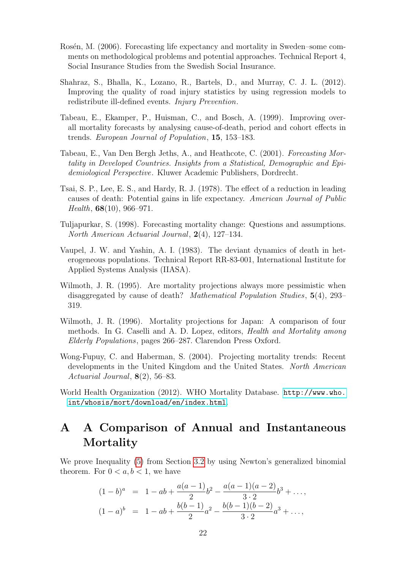- Rosén, M. (2006). Forecasting life expectancy and mortality in Sweden–some comments on methodological problems and potential approaches. Technical Report 4, Social Insurance Studies from the Swedish Social Insurance.
- Shahraz, S., Bhalla, K., Lozano, R., Bartels, D., and Murray, C. J. L. (2012). Improving the quality of road injury statistics by using regression models to redistribute ill-defined events. *Injury Prevention*.
- Tabeau, E., Ekamper, P., Huisman, C., and Bosch, A. (1999). Improving overall mortality forecasts by analysing cause-of-death, period and cohort effects in trends. *European Journal of Population*, 15, 153–183.
- Tabeau, E., Van Den Bergh Jeths, A., and Heathcote, C. (2001). *Forecasting Mortality in Developed Countries. Insights from a Statistical, Demographic and Epidemiological Perspective*. Kluwer Academic Publishers, Dordrecht.
- Tsai, S. P., Lee, E. S., and Hardy, R. J. (1978). The effect of a reduction in leading causes of death: Potential gains in life expectancy. *American Journal of Public Health*, 68(10), 966–971.
- Tuljapurkar, S. (1998). Forecasting mortality change: Questions and assumptions. *North American Actuarial Journal*, 2(4), 127–134.
- Vaupel, J. W. and Yashin, A. I. (1983). The deviant dynamics of death in heterogeneous populations. Technical Report RR-83-001, International Institute for Applied Systems Analysis (IIASA).
- Wilmoth, J. R. (1995). Are mortality projections always more pessimistic when disaggregated by cause of death? *Mathematical Population Studies*, 5(4), 293– 319.
- Wilmoth, J. R. (1996). Mortality projections for Japan: A comparison of four methods. In G. Caselli and A. D. Lopez, editors, *Health and Mortality among Elderly Populations*, pages 266–287. Clarendon Press Oxford.
- Wong-Fupuy, C. and Haberman, S. (2004). Projecting mortality trends: Recent developments in the United Kingdom and the United States. *North American Actuarial Journal*, 8(2), 56–83.
- World Health Organization (2012). WHO Mortality Database. [http://www.who.](http://www.who.int/whosis/mort/download/en/index.html) [int/whosis/mort/download/en/index.html](http://www.who.int/whosis/mort/download/en/index.html).

## A A Comparison of Annual and Instantaneous Mortality

We prove Inequality [\(5\)](#page-9-0) from Section [3.2](#page-8-0) by using Newton's generalized binomial theorem. For  $0 < a, b < 1$ , we have

$$
(1-b)^a = 1 - ab + \frac{a(a-1)}{2}b^2 - \frac{a(a-1)(a-2)}{3 \cdot 2}b^3 + \dots,
$$
  

$$
(1-a)^b = 1 - ab + \frac{b(b-1)}{2}a^2 - \frac{b(b-1)(b-2)}{3 \cdot 2}a^3 + \dots,
$$